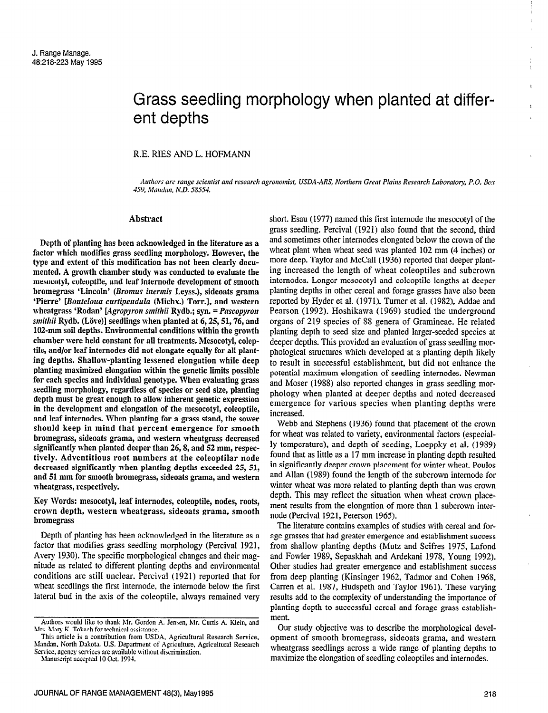# Grass seedling morphology when planted at different depths

## R.E. RIES AND L. HOFMANN

Authors are range scientist and research agronomist, USDA-ARS, Northern Great Plains Research Laboratory, P.O. Box 459, Mandan, N.D. 58554.

#### Abstract

Depth of planting has been acknowledged in the literature as a factor which modifies grass seedling morphology. However, the type and estent of this modification has not been clearly documented. A growth chamber study was conducted to evaluate the mesocotyl, coleoptile, and leaf internode development of smooth bromegrass 'Lincoln' (Bromus inermis Leyss.), sideoats grama 'Pierre' [Bouteloua curtipendula (Michx.) Torr.], and western wheatgrass 'Rodan' [Agropyron smithii Rydb.; syn.  $=$  Pascopyron smithii Rydb. (Löve)] seedlings when planted at  $6, 25, 51, 76,$  and 102-mm soil depths. Environmental conditions within the growth chamber were held constant for all treatments. Mesocotyl, coleptile, and/or leaf internodes did not elongate equally for all planting depths. Shallow-planting lessened elongation while deep planting maximized elongation within the genetic limits possible for each species and individual genotype. When evaluating grass seedling morphology, regardless of species or seed size, planting depth must be great enough to allow inherent genetic expression in the development and elongation of the mesocotyl, coleoptile, and leaf internodes. When planting for a grass stand, the sower should keep in mind that percent emergence for smooth bromegrass, sideoats grama, and western wheatgrass decreased significantly when planted deeper than 26,8, and 52 mm, respectively. Adventitious root numbers at the coleoptilar node decreased significantly when planting depths exceeded 25, 51, accreased significantly when planting depths executed by  $J_A$ wheatgrass, respectively.<br>wheatgrass, respectively.

Key Words: mesocotyl, leaf internodes, coleoptile, nodes, roots, EVEY FOLUS. HIESOCOLYI, IEAL HITELHOUES, COICOPHIE, HOUES, LOODS, crown depth, western wheatgrass, sideoats grama, smooth<br>bromegrass

Depth of planting has been acknowledged in the literature as a  $\frac{1}{2}$  begin of planting has been acknowledged in the including as a factor that modifies grass seedling morphology (Percival 1921, Avery 1930). The specific morphological changes and their magnitude as related to different planting depths and environmental conditions are still unclear. Percival (1921) reported that for wheat seedlings the first internode, the internode below the first lateral bud in the axis of the coleoptile, always remained very

This article is a contribution from USDA, Agricultural Research Service, Mandan, North Dakota. U.S. Department of Agriculture, Agricultural Research Service, agency services are available without discrimination.<br>Manuscript accepted 10 Oct. 1994.

short. Esau (1977) named this first internode the mesocotyl of the grass seedling. Percival (1921) also found that the second, third and sometimes other internodes elongated below the crown of the wheat plant when wheat seed was planted 102 mm (4 inches) or more deep. Taylor and McCall (1936) reported that deeper planting increased the length of wheat coleoptiles and subcrown internodes. Longer mesocotyl and coleoptile lengths at deeper planting depths in other cereal and forage grasses have also been reported by Hyder et al. (1971), Turner et al. (1982), Addae and Pearson (1992). Hoshikawa (1969) studied the underground organs of 219 species of 58 genera of Gramineae. He related planting depth to seed size and planted larger-seeded species at deeper depths. This provided an evaluation of grass seedling morphological structures which developed at a planting depth likely to result in successful establishment, but did not enhance the potential maximum elongation of seedling internodes. Newman and Moser (1988) also reported changes in grass seedling morphology when planted at deeper depths and noted decreased emergence for various species when planting depths were increased.

Webb and Stephens (1936) found that placement of the crown for wheat was related to variety, environmental factors (especially temperature), and depth of seeding, Loeppky et al. (1989) found that as little as a 17 mm increase in planting depth resulted in significantly deeper crown placement for winter wheat. Poulos and Allan (1989) found the length of the subcrown internode for winter wheat was more related to planting depth than was crown which wheat was more related to planning depth man was crown we have resulted the subtract when when the more than 1 subcrown interment results from the elongation of more than 1 subcrown internode (Percival 1921, Peterson 1965). The literature contains estimated of studies with cereal and for-

and merature comains examples or studies with cereal and forage grasses that had greater emergence and establishment success from shallow planting depths (Mutz and Scifres 1975, Lafond and Fowler 1989, Sepaskhah and Ardekani 1978, Young 1992). Other studies had greater emergence and establishment success from deep planting (Kinsinger 1962, Tadmor and Cohen 1968, Carren et al. 1987, Hudspeth and Taylor 1961). These varying results add to the complexity of understanding the importance of planting depth to successful cereal and forage grass establishment. Our study objective was to describe the morphological devel-

our study objective was to describe the morphological development of smooth bromegrass, sideoats grama, and western wheatgrass seedlings across a wide range of planting depths to maximize the elongation of seedling coleoptiles and internodes. ,

Authors would like to thank hlr. Gordon A. Jenren, Mr. Curtis A. Klein, and Authors would like to thank Mr. Gordon Mrs. Mary K. Tokach for technical assistance.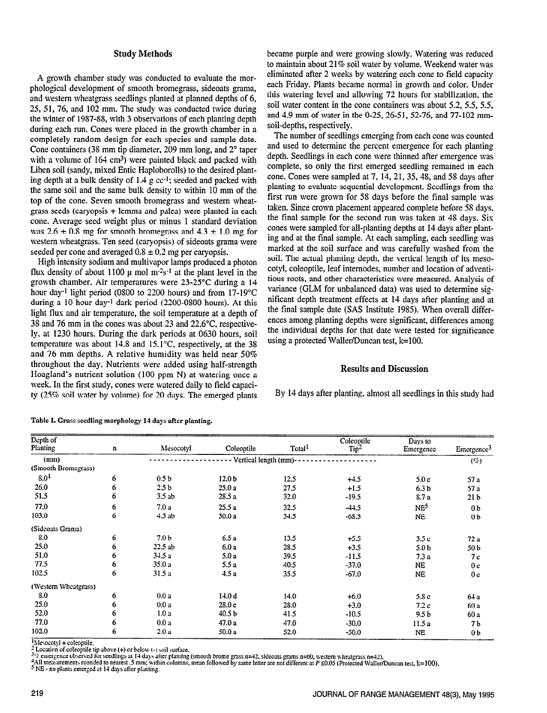## Study Methods

A growth chamber study was conducted to evaluate the morphological development of smooth bromegrass, sideoats grama, and western wheatgrass seedlings planted at planned depths of 6, 25,51,76, and 102 mm. The study was conducted twice during the winter of 1957-88, with 3 observations of each planting depth during each run. Cones were placed in the growth chamber in a completely random design for each species and sample date. Cone containers (38 mm tip diameter, 209 mm long, and 2<sup>o</sup> taper with a volume of  $164 \text{ cm}^3$ ) were painted black and packed with Lihen soil (sandy, mixed Entic Haploborolls) to the desired planting depth at a bulk density of  $1.4 \text{ g cc}^{-1}$ ; seeded and packed with the same soil and the same bulk density to within 10 mm of the top of the cone. Seven smooth bromegrass and western wheatgrass seeds (caryopsis + lemma and palea) were planted in each cone. Average seed weight plus or minus 1 standard deviation was  $2.6 \pm 0.8$  mg for smooth bromegrass and  $4.3 \pm 1.0$  mg for western wheatgrass. Ten seed (caryopsis) of sideoats grama were seeded per cone and averaged  $0.8 \pm 0.2$  mg per caryopsis.

High intensity sodium and multivapor lamps produced a photon flux density of about 1100  $\mu$  mol m<sup>-2</sup>s<sup>-1</sup> at the plant level in the growth chamber. Air temperatures were 23-25°C during a 14 hour day<sup>-1</sup> light period (0800 to 2200 hours) and from 17-19°C during a 10 hour day<sup>-1</sup> dark period (2200-0800 hours). At this light flux and air temperature, the soil temperature at a depth of 38 and 76 mm in the cones was about 23 and 22.6"C, respectively, at 1230 hours. During the dark periods at 0630 hours, soil temperature was about  $14.8$  and  $15.1^{\circ}$ C, respectively, at the 38 and 76 mm depths. A relative humidity was held near 50% throughout the day. Nutrients were added using half-strength Hoagland's nutrient solution (100 ppm N) at watering once a week. In the first study, cones were watered daily to field capacity (25% soil water by volume) for 20 days. The emerged plants became purple and were growing slowly. Watering was reduced to maintain about 21% soil water by volume. Weekend water was eliminated after 2 weeks by watering each cone to field capacity each Friday. Plants became normal in growth and color. Under this watering level and allowing 72 hours for stabilization, the soil water content in the cone containers was about 5.2, 5.5, 5.5, and 4.9 mm of water in the O-25,26-51, 52-76, and 77-102 mmsoil-depths, respectively.

The number of seedlings emerging from each cone was counted and used to determine the percent emergence for each planting depth. Seedlings in each cone were thinned after emergence was complete, so only the first emerged seedling remained in each cone. Cones were sampled at 7, 14,21,35,4S, and 58 days after planting to evaluate sequential development. Seedlings from the first run were grown for 5X days before the final sample was taken. Since crown placement appeared complete before 5s days, the final sample for the second run was taken at 4s days. Six cones were sampled for all-planting depths at 14 days after planting and at the final sample. At each sampling, each seedling was marked at the soil surface and was carefully washed from the soil. The actual planting depth, the vertical length of its mesocotyl, coleoptile, leaf internodes, number and location of adventitious roots, and other characteristics were measured. Analysis of variance (GLM for unbalanced data) was used to determine significant depth treatment effects at 14 days after planting and at the final sample date (SAS Institute 1985). When overall differences among planting depths were significant, differences among the individual depths for that date were tested for significance using a protected Wailer/Duncan test, k=lOO.

## ResuIts and Discussion

By 14 days after planting, almost all seedlings in this study had

| Depth of<br>Planting | $\mathbf n$ | Mesocotyl             | Total<br>Coleoptile |      | Coleoptile<br>Tip <sup>2</sup> | Days to<br>Emergence | Emergence <sup>3</sup> |  |
|----------------------|-------------|-----------------------|---------------------|------|--------------------------------|----------------------|------------------------|--|
| (mm)                 |             | Vertical length (mm)- |                     |      |                                |                      |                        |  |
| (Smooth Bromegrass)  |             |                       |                     |      |                                |                      | $($ %                  |  |
| 8.0 <sup>4</sup>     | 6           | 0.5 <sub>b</sub>      | 12.0 <sub>b</sub>   | 12.5 | $+4.5$                         | 5.0c                 | 57 a                   |  |
| 26.0                 | 6           | 2.5 <sub>b</sub>      | 25.0a               | 27.5 | $+1.5$                         | 6.3 <sub>b</sub>     | 57 a                   |  |
| 51.5                 | 6           | 3.5ab                 | 28.5 a              | 32.0 | $-19.5$                        | 8.7a                 | 21 <sub>b</sub>        |  |
| 77.0                 | 6           | 7.0a                  | 25.5a               | 32.5 | $-44.5$                        | NE <sup>5</sup>      | 0 <sub>b</sub>         |  |
| 103.0                | 6           | $4.5$ ab              | 30.0 a              | 34.5 | $-68.5$                        | <b>NE</b>            | 0 <sub>b</sub>         |  |
| (Sideoats Grama)     |             |                       |                     |      |                                |                      |                        |  |
| 8.0                  | 6           | 7.0 <sub>b</sub>      | 6.5a                | 13.5 | $+5.5$                         | 3.5c                 | 72 a                   |  |
| 25.0                 | 6           | 22.5ab                | 6.0 a               | 28.5 | $+3.5$                         | 5.0 <sub>b</sub>     | 50 b                   |  |
| 51.0                 | 6           | 34.5a                 | 5.0 a               | 39.5 | $-11.5$                        | 7.3a                 | 7c                     |  |
| 77.5                 | 6           | 35.0 a                | 5.5a                | 40.5 | $-37.0$                        | <b>NE</b>            | 0 <sub>c</sub>         |  |
| 102.5                | 6           | 31.5 a                | 4.5a                | 35.5 | $-67.0$                        | <b>NE</b>            | 0 <sub>c</sub>         |  |
| (Western Wheatgrass) |             |                       |                     |      |                                |                      |                        |  |
| 8.0                  | 6           | 0.0a                  | 14.0d               | 14.0 | $+6.0$                         | 5.8c                 | 64 a                   |  |
| 25.0                 | 6           | 0.0 a                 | 28.0c               | 28.0 | $+3.0$                         | 7.2c                 | 60 a                   |  |
| 52.0                 | 6           | 1.0a                  | 40.5 b              | 41.5 | $-10.5$                        | 9.5 <sub>b</sub>     | 60 a                   |  |
| 77.0                 | 6           | 0.0a                  | 47.0 a              | 47.0 | $-30.0$                        | 11.5a                | 7 <sub>b</sub>         |  |
| 102.0                | 6           | 2.0a                  | 50.0 a              | 52.0 | $-50.0$                        | <b>NE</b>            | 0 <sub>b</sub>         |  |

Table 1. Grass seedling morphology 14 days after planting.

 $M$ esocotyl + coleoptile.

<sup>2</sup> Location of coleoptile tip above (+) or below (-) soil surface.

 $\frac{3}{2}$  emergence observed for seedlings at 14 days after planting (smooth brome grass n=42, sideoats grams n=60, western wheatgrass n=42).

<sup>4</sup>All measurements rounded to nearest .5 mm; within columns, mean followed by same letter are not different at P ≤0.05 (Protected Waller/Duncan test, k=100).

<sup>5</sup> NE - no plants emerged at 14 days after planting.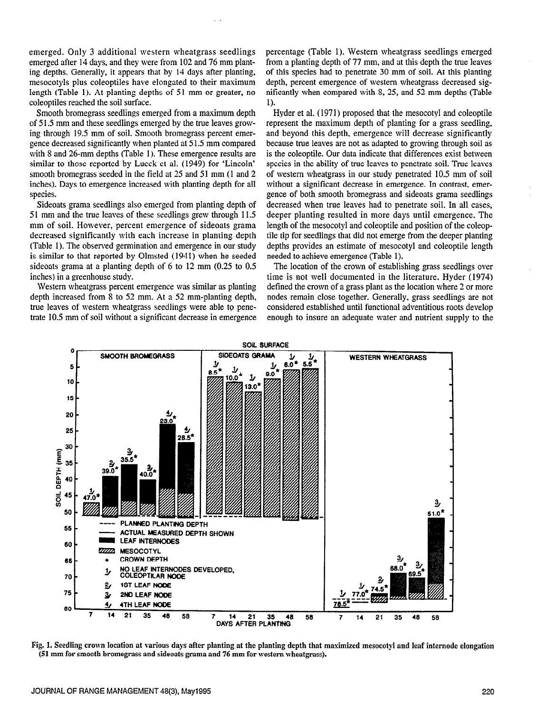emerged. Only 3 additional western wheatgrass seedlings emerged after 14 days, and they were from 102 and 76 mm planting depths. Generally, it appears that by 14 days after planting, mesocotyls plus coleoptiles have elongated to their maximum length (Table 1). At planting depths of 51 mm or greater, no coleoptiles reached the soil surface.

Smooth bromegrass seedlings emerged from a maximum depth of 5 1.5 mm and these seedlings emerged by the true leaves growing through 19.5 mm of soil. Smooth bromegrass percent emergence decreased significantly when planted at 5 1.5 mm compared with S and 26-mm depths (Table 1). These emergence results are similar to those reported by Lueck et al. (1949) for 'Lincoln' smooth bromegrass seeded in the field at 25 and 51 mm (1 and 2 inches). Days to emergence increased with planting depth for all species.

Sideoats grama seedlings also emerged from planting depth of 51 mm and the true leaves of these seedlings grew through 11.5 mm of soil. However, percent emergence of sideoats grama decreased significantly with each increase in planting depth (Table 1). The observed germination and emergence in our study is similar to that reported by Olmsted (1941) when he seeded sideoats grama at a planting depth of 6 to 12 mm (0.25 to 0.5 inches) in a greenhouse study.

Western wheatgrass percent emergence was similar as planting depth increased from S to 52 mm. At a 52 mm-planting depth, true leaves of western wheatgrass seedlings were able to penetrate 10.5 mm of soil without a significant decrease in emergence percentage (Table 1). Western wheatgrass seedlings emerged from a planting depth of 77 mm, and at this depth the true leaves of this species had to penetrate 30 mm of soil. At this planting depth, percent emergence of western wheatgrass decreased significantly when compared with S, 25, and 52 mm depths (Table 1).

Hyder et al. (1971) proposed that the mesocotyl and coleoptile represent the maximum depth of planting for a grass seedling, and beyond this depth, emergence will decrease significantly because true leaves are not as adapted to growing through soil as is the coleoptile. Our data indicate that differences exist between species in the ability of true leaves to penetrate soil. True leaves of western wheatgrass in our study penetrated 10.5 mm of soil without a significant decrease in emergence. In contrast, emergence of both smooth bromegrass and sideoats grama seedlings decreased when true leaves had to penetrate soil. In all cases, deeper planting resulted in more days until emergence. The length of the mesocotyl and coleoptile and position of the coleoptile tip for seedlings that did not emerge from the deeper planting depths provides an estimate of mesocotyl and coleoptile length needed to achieve emergence (Table 1).

The location of the crown of establishing grass seedlings over time is not well documented in the literature. Hyder (1974) defined the crown of a grass plant as the location where 2 or more nodes remain close together. Generally, grass seedlings are not considered established until functional adventitious roots develop enough to insure an adequate water and nutrient supply to the



Fig. 1. Seedling crown location at various days after planting at the planting depth that maximized mesocotyl and leaf internode elongation (51 mm for smooth bromegrass and sideoats grama and 76 mm for western wheatgrass).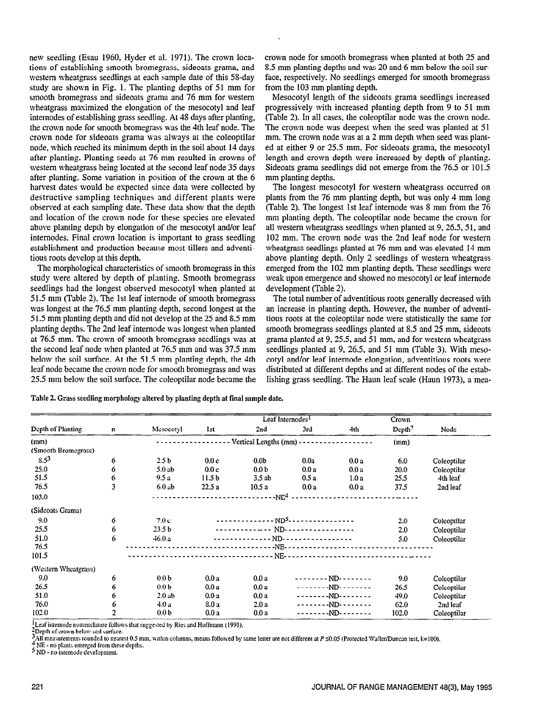new seedling (Esau 1960, Hyder et al. 1971). The crown locations of establishing smooth bromegrass, sideoats grama, and western wheatgrass seedlings at each sample date of this 58-day study are shown in Fig. 1. The planting depths of 51 mm for smooth bromegrass and sideoats grama and 76 mm for western wheatgrass maximized the elongation of the mesocotyl and leaf internodes of establishing grass seedling. At 48 days after planting, the crown node for smooth bromegrass was the 4th leaf node. The crown node for sideoats grama was always at the coleoptilar node, which reached its minimum depth in the soil about 14 days after planting. Planting seeds at 76 mm resulted in crowns of western wheatgrass being located at the second leaf node 35 days after planting. Some variation in position of the crown at the 6 harvest dates would be expected since data were collected by destructive sampling techniques and different plants were obsenred at each sampling date. These data show that the depth and location of the crown node for these species are elevated above planting depth by elongation of the mesocotyl and/or leaf internodes. Final crown location is important to grass seedling establishment and production because most tillers and adventitious roots develop at this depth.

The morphological characteristics of smooth bromegrass in this study were altered by depth of planting. Smooth bromegrass seedlings had the longest observed mesocotyl when planted at 51.5 mm (Table 2). The 1st leaf internode of smooth bromegrass was longest at the 76.5 mm planting depth, second longest at the 5 1.5 mm planting depth and did not develop at the 25 and S.5 mm planting depths. The 2nd leaf internode was longest when planted at 76.5 mm. The crown of smooth bromegrass seedlings was at the second leaf node when planted at 76.5 mm and was 37.5 mm below the soil surface. At the 51.5 mm planting depth, the 4th leaf node became the crown node for smooth bromegrass and was 25.5 mm below the soil surface. The coleoptilar node became the crown node for smooth bromegrass when planted at both 25 and 8.5 mm planting depths and was 20 and 6 mm below the soil surface, respectively. No seedlings emerged for smooth bromegrass from the 103 mm planting depth.

Mesocotyl length of the sideoats grama seedlings increased progressively with increased planting depth from 9 to 51 mm (Table 2). In all cases, the coleoptilar node was the crown node. The crown node was deepest when the seed was planted at 51 mm. The crown node was at a 2 mm depth when seed was planted at either 9 or 25.5 mm. For sideoats grama, the mesocotyl length and crown depth were increased by depth of planting. Sideoats grama seedlings did not emerge from the 76.5 or 101.5 mm planting depths.

The longest mesocotyl for western wheatgrass occurred on plants from the 76 mm planting depth, but was only 4 mm long (Table 2). The longest 1st leaf internode was 8 mm from the 76 mm planting depth. The coleoptilar node became the crown for all western wheatgrass seedlings when planted at 9,26.5,5 1, and 102 mm. The crown node was the 2nd leaf node for western wheatgrass seedlings planted at 76 mm and was elevated 14 mm above planting depth. Only 2 seedlings of western wheatgrass emerged from the 102 mm planting depth. These seedlings were weak upon emergence and showed no mesocotyl or leaf internode development (Table 2).

The total number of adventitious roots generally decreased with an increase in planting depth. However, the number of adventitious roots at the coleoptilar node were statistically the same for smooth bromegrass seedlings planted at X.5 and 25 mm, sideoats grama planted at 9, 25.5, and 51 mm, and for western wheatgrass seedlings planted at 9, 26.5, and 51 mm (Table 3). With mesocotyl and/or leaf internode elongation, adventitious roots were distributed at different depths and at different nodes of the establishing grass seedling. The Haun leaf scale (Haun 1973), a mea-

Table 2. Grass seedling morphology altered by planting depth at final sample date.

|                      |   |                   |                   | Leaf Internodes <sup>1</sup>                      |      | Crown               |                    |             |  |  |  |
|----------------------|---|-------------------|-------------------|---------------------------------------------------|------|---------------------|--------------------|-------------|--|--|--|
| Depth of Planting    | n | Mesocotyl         | 1st               | 2nd                                               | 3rd  | 4th                 | Depth <sup>2</sup> | Node        |  |  |  |
| (mm)                 |   |                   | (mm)              |                                                   |      |                     |                    |             |  |  |  |
| (Smooth Bromegrass)  |   |                   |                   |                                                   |      |                     |                    |             |  |  |  |
| $8.5^{3}$            | 6 | 2.5 <sub>b</sub>  | 0.0c              | 0.0 <sub>b</sub>                                  | 0.0a | 0.0a                | 6.0                | Coleoptilar |  |  |  |
| 25.0                 | 6 | 5.0ab             | 0.0c              | 0.0 <sub>b</sub>                                  | 0.0a | 0.0a                | 20.0               | Coleoptilar |  |  |  |
| 51.5                 | 6 | 9.5a              | 11.5 <sub>b</sub> | 3.5ab                                             | 0.5a | 1.0a                | 25.5               | 4th leat    |  |  |  |
| 76.5                 | 3 | 6.0ab             | 22.5a             | 10.5a                                             | 0.0a | 0.0 a               | 37.5               | 2nd leaf    |  |  |  |
| 103.0                |   | $-NE4$            |                   |                                                   |      |                     |                    |             |  |  |  |
| (Sideoats Grama)     |   |                   |                   |                                                   |      |                     |                    |             |  |  |  |
| 9.0                  | 6 | 7.0c              |                   | --------------- ND <sup>5</sup> ----------------- |      | 2.0                 | Coleoptilar        |             |  |  |  |
| 25.5                 | 6 | 23.5 <sub>b</sub> |                   | ------------- ND-----------------                 | 2.0  | Coleoptilar         |                    |             |  |  |  |
| 51.0                 | 6 | 46.0a             |                   | -------------- ND-----------------                | 5.0  | Coleoptilar         |                    |             |  |  |  |
| 76.5                 |   |                   |                   |                                                   |      |                     |                    |             |  |  |  |
| 101.5                |   |                   |                   |                                                   |      |                     |                    |             |  |  |  |
| (Western Wheatgrass) |   |                   |                   |                                                   |      |                     |                    |             |  |  |  |
| 9,0                  | 6 | 0.0 <sub>b</sub>  | 0.0a              | 0.0a                                              |      | -------- ND-------- | 9.0                | Coleoptilar |  |  |  |
| 26.5                 | 6 | 0.0 <sub>b</sub>  | 0.0a              | 0.0a                                              |      | --------ND--------  | 26.5               | Coleoptilar |  |  |  |
| 51.0                 | 6 | 2.0ab             | 0.0a              | 0.0a                                              |      | --------ND--------  | 49.0               | Coleoptilar |  |  |  |
| 76.0                 | 6 | 4.0a              | 8.0a              | 2.0a                                              |      | --------ND--------  | 62.0               | 2nd leaf    |  |  |  |
| 102.0                |   | 0.0 <sub>b</sub>  | 0.0a              | 0.0a                                              |      | --------ND--------  | 102.0              | Coleoptilar |  |  |  |

Leaf internode nomenclature follows that suggested by Ries and Hoffmann (1991).

2Depth of crown below soil surface.

3AlI measurements rounded IO nearest 0.5 mm. whm columns, means followed by same letter are not different at P SO.05 (Protected Wailer/Duncan rest, k=lOO).

NE - no plants emerged from these depths.

5 ND - no internode development.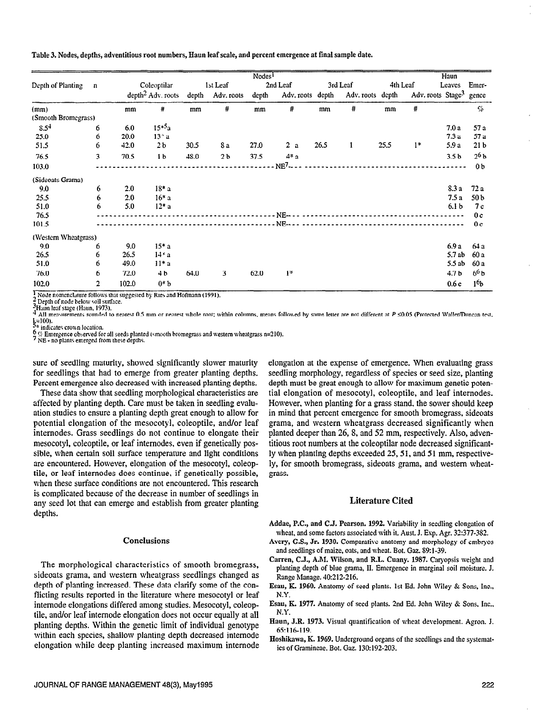Table 3. Nodes, depths, adventitious root numbers, Haun leaf scale, and percent emergence at final sample date.

|                      |             |       |                               |       |                            | Nodes <sup>1</sup> |                           |      |                  |      |          | Haun                          |                  |
|----------------------|-------------|-------|-------------------------------|-------|----------------------------|--------------------|---------------------------|------|------------------|------|----------|-------------------------------|------------------|
| Depth of Planting    | $\mathbf n$ |       | Coleoptilar                   |       | 1st Leaf                   |                    | 2nd Leaf                  |      | 3rd Leaf         |      | 4th Leaf | Leaves                        | Emer-            |
|                      |             |       | depth <sup>2</sup> Adv. roots | depth | Adv. roots                 | depth              | Adv. roots depth          |      | Adv. roots depth |      |          | Adv. roots Stage <sup>3</sup> | gence            |
| (mm)                 |             | mm    | #                             | mm    | #                          | mm                 | #                         | mm   | #                | mm   | #        |                               | $\varsigma_o$    |
| (Smooth Bromegrass)  |             |       |                               |       |                            |                    |                           |      |                  |      |          |                               |                  |
| $8.5^{4}$            | 6           | 6.0   | $15*5a$                       |       |                            |                    |                           |      |                  |      |          | 7.0 a                         | 57 a             |
| 25.0                 | 6           | 20.0  | $13* a$                       |       |                            |                    |                           |      |                  |      |          | 7.3a                          | 57 a             |
| 51.5                 | 6           | 42.0  | 2 <sub>b</sub>                | 30.5  | 8a                         | 27.0               | 2a                        | 26.5 | 1                | 25.5 | $1*$     | 5.9 a                         | 21 <sub>b</sub>  |
| 76.5                 | 3           | 70.5  | 1 <sub>b</sub>                | 48.0  | 2 <sub>b</sub>             | 37.5               | $4*$ a                    |      |                  |      |          | 3.5 <sub>b</sub>              | 2 <sub>6</sub>   |
| 103.0                |             |       |                               |       |                            |                    | NE <sup>7</sup>           |      |                  |      |          |                               | 0 <sub>b</sub>   |
| (Sideoats Grama)     |             |       |                               |       |                            |                    |                           |      |                  |      |          |                               |                  |
| 9.0                  | 6           | 2.0   | $18* a$                       |       |                            |                    |                           |      |                  |      |          | 8.3 a                         | 72a              |
| 25.5                 | 6           | 2.0   | $16* a$                       |       |                            |                    |                           |      |                  |      |          | 7.5a                          | 50 <sub>b</sub>  |
| 51.0                 | 6           | 5.0   | $12^*$ a                      |       |                            |                    |                           |      |                  |      |          | 6.1 <sub>b</sub>              | 7 c              |
| 76.5                 |             |       |                               |       |                            |                    | NE---- ------------------ |      |                  |      |          |                               | 0 <sub>c</sub>   |
| 101.5                |             |       |                               |       | --------------------- NE-- |                    |                           |      |                  |      |          |                               | 0 <sub>c</sub>   |
| (Western Wheatgrass) |             |       |                               |       |                            |                    |                           |      |                  |      |          |                               |                  |
| 9.0                  | 6           | 9.0   | $15* a$                       |       |                            |                    |                           |      |                  |      |          | 6.9 a                         | 64 a             |
| 26.5                 | 6           | 26.5  | 14 <sup>2</sup> a             |       |                            |                    |                           |      |                  |      |          | 5.7 ab                        | 60 a             |
| 51.0                 | 6           | 49.0  | $11* a$                       |       |                            |                    |                           |      |                  |      |          | 5.5ab                         | 60 a             |
| 76.0                 | 6           | 72.0  | 4 b                           | 64.0  | 3                          | 62.0               | $\mathbf{I}^*$            |      |                  |      |          | 4.7b                          | 6 <sup>6</sup> b |
| 102.0                | 2<br>$-$    | 102.0 | $0 * b$<br>$-1$               |       | $\overline{1}$             |                    |                           |      |                  |      |          | 0.6c                          | 1 <sub>6</sub>   |

Node nomenclature follows that suggested by Ries and Hofmann (1991).

 $\frac{2}{3}$  Depth of node below soil surface. 3Haun leaf stage (Haun, 1973).

Ä All measurements rounded to nearest 0.5 mm or nearest whole root; within columns, means followed by same letter are not different at P ≤0.05 (Protected Waller/Duncan test,

 $\frac{1}{2}$  =100).<br> $\frac{1}{2}$  indicates crown location.

6 % Emergence observed for all seeds planted (smooth bromegrass and western wheatgrass n=210).<br>7 NE - no plants emerged from these depths.

sure of seedling maturity, showed significantly slower maturity for seedlings that had to emerge from greater planting depths. Percent emergence also decreased with increased planting depths.

These data show that seedling morphological characteristics are affected by planting depth. Care must be taken in seedling evaluation studies to ensure a planting depth great enough to allow for potential elongation of the mesocotyl, coleoptile, and/or leaf internodes. Grass seedlings do not continue to elongate their mesocotyl, coleoptile, or leaf internodes, even if genetically possible, when certain soil surface temperature and light conditions are encountered. However, elongation of the mesocotyl, coleoptile, or leaf internodes does continue, if genetically possible, when these surface conditions are not encountered. This research is complicated because of the decrease in number of seedlings in any seed lot that can emerge and establish from greater planting depths.

#### **Conclusions**

The morphological characteristics of smooth bromegrass, sideoats grama, and western wheatgrass seedlings changed as depth of planting increased. These data clarify some of the conflicting results reported in the literature where mesocotyl or leaf internode elongations differed among studies. Mesocotyl, coleoptile, and/or leaf internode elongation does not occur equally at all planting depths. Within the genetic limit of individual genotype within each species, shallow planting depth decreased internode elongation while deep planting increased maximum internode elongation at the expense of emergence. When evaluating grass seedling morphology, regardless of species or seed size, planting depth must be great enough to allow for maximum genetic potential elongation of mesocotyl, coleoptile, and leaf internodes. However, when planting for a grass stand, the sower should keep in mind that percent emergence for smooth bromegrass, sideoats grama, and western wheatgrass decreased significantly when planted deeper than 26, 8, and 52 mm, respectively. Also, adventitious root numbers at the coleoptilar node decreased significantly when planting depths exceeded 25, 51, and 51 mm, respectively, for smooth bromegrass, sideoats grama, and western wheatgrass.

# **Literature Cited**

Addae, P.C., and C.J. Pearson. 1992. Variability in seedling elongation of wheat, and some factors associated with it. Aust. J. Exp. Agr. 32:377-382.

- Avery, G.S., Jr. 1930. Comparative anatomy and morphology of embryos and seedlings of maize, oats, and wheat. Bot. Gaz. 89:1-39.
- Carren, C.J., A.M. Wilson, and R.L. Cuany. 1987. Caryopsis weight and planting depth of blue grama, II. Emergence in marginal soil moisture. J. Range Manage. 40:212-216.
- Esau, K. 1960. Anatomy of seed plants. 1st Ed. John Wiley & Sons, Inc., N.Y.
- Esau, K. 1977. Anatomy of seed plants. 2nd Ed. John Wiley & Sons, Inc.,  $N.Y.$
- Haun, J.R. 1973. Visual quantification of wheat development. Agron. J. 65:116-119.
- Hoshikawa, K. 1969. Underground organs of the seedlings and the systematics of Gramineae. Bot. Gaz. 130:192-203.